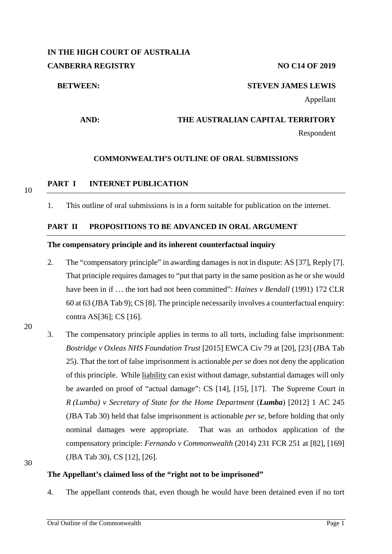# **IN THE HIGH COURT OF AUSTRALIA CANBERRA REGISTRY NO C14 OF 2019**

#### **BETWEEN: STEVEN JAMES LEWIS**

Appellant

# **AND: THE AUSTRALIAN CAPITAL TERRITORY**

Respondent

### **COMMONWEALTH'S OUTLINE OF ORAL SUBMISSIONS**

10

# **PART I INTERNET PUBLICATION**

1. This outline of oral submissions is in a form suitable for publication on the internet.

#### **PART II PROPOSITIONS TO BE ADVANCED IN ORAL ARGUMENT**

#### **The compensatory principle and its inherent counterfactual inquiry**

- 2. The "compensatory principle" in awarding damages is not in dispute: AS [37], Reply [7]. That principle requires damages to "put that party in the same position as he or she would have been in if … the tort had not been committed": *Haines v Bendall* (1991) 172 CLR 60 at 63 (JBA Tab 9); CS [8]. The principle necessarily involves a counterfactual enquiry: contra AS[36]; CS [16].
- 20
- 3. The compensatory principle applies in terms to all torts, including false imprisonment: *Bostridge v Oxleas NHS Foundation Trust* [2015] EWCA Civ 79 at [20], [23] (JBA Tab 25). That the tort of false imprisonment is actionable *per se* does not deny the application of this principle. While liability can exist without damage, substantial damages will only be awarded on proof of "actual damage": CS [14], [15], [17]. The Supreme Court in *R (Lumba) v Secretary of State for the Home Department* (*Lumba*) [2012] 1 AC 245 (JBA Tab 30) held that false imprisonment is actionable *per se*, before holding that only nominal damages were appropriate. That was an orthodox application of the compensatory principle: *Fernando v Commonwealth* (2014) 231 FCR 251 at [82], [169] (JBA Tab 30), CS [12], [26].

30

#### **The Appellant's claimed loss of the "right not to be imprisoned"**

4. The appellant contends that, even though he would have been detained even if no tort